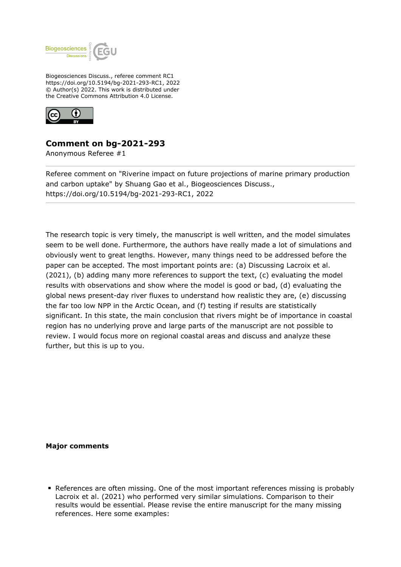

Biogeosciences Discuss., referee comment RC1 https://doi.org/10.5194/bg-2021-293-RC1, 2022 © Author(s) 2022. This work is distributed under the Creative Commons Attribution 4.0 License.



## **Comment on bg-2021-293**

Anonymous Referee #1

Referee comment on "Riverine impact on future projections of marine primary production and carbon uptake" by Shuang Gao et al., Biogeosciences Discuss., https://doi.org/10.5194/bg-2021-293-RC1, 2022

The research topic is very timely, the manuscript is well written, and the model simulates seem to be well done. Furthermore, the authors have really made a lot of simulations and obviously went to great lengths. However, many things need to be addressed before the paper can be accepted. The most important points are: (a) Discussing Lacroix et al. (2021), (b) adding many more references to support the text, (c) evaluating the model results with observations and show where the model is good or bad, (d) evaluating the global news present-day river fluxes to understand how realistic they are, (e) discussing the far too low NPP in the Arctic Ocean, and (f) testing if results are statistically significant. In this state, the main conclusion that rivers might be of importance in coastal region has no underlying prove and large parts of the manuscript are not possible to review. I would focus more on regional coastal areas and discuss and analyze these further, but this is up to you.

**Major comments**

References are often missing. One of the most important references missing is probably Lacroix et al. (2021) who performed very similar simulations. Comparison to their results would be essential. Please revise the entire manuscript for the many missing references. Here some examples: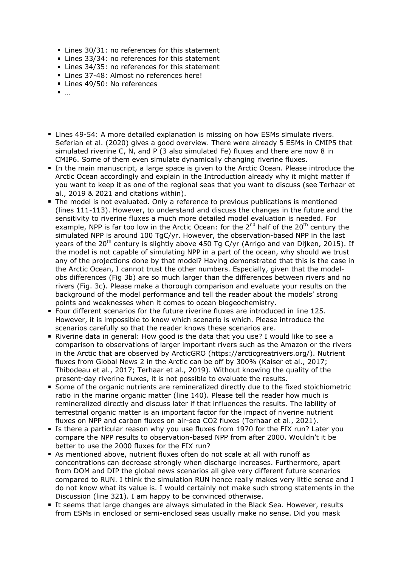- Lines 30/31: no references for this statement
- Lines 33/34: no references for this statement
- Lines 34/35: no references for this statement
- Lines 37-48: Almost no references here!
- Lines 49/50: No references
- …
- Lines 49-54: A more detailed explanation is missing on how ESMs simulate rivers. Seferian et al. (2020) gives a good overview. There were already 5 ESMs in CMIP5 that simulated riverine C, N, and P (3 also simulated Fe) fluxes and there are now 8 in CMIP6. Some of them even simulate dynamically changing riverine fluxes.
- In the main manuscript, a large space is given to the Arctic Ocean. Please introduce the Arctic Ocean accordingly and explain in the Introduction already why it might matter if you want to keep it as one of the regional seas that you want to discuss (see Terhaar et al., 2019 & 2021 and citations within).
- The model is not evaluated. Only a reference to previous publications is mentioned (lines 111-113). However, to understand and discuss the changes in the future and the sensitivity to riverine fluxes a much more detailed model evaluation is needed. For example, NPP is far too low in the Arctic Ocean: for the  $2^{nd}$  half of the  $20^{th}$  century the simulated NPP is around 100 TgC/yr. However, the observation-based NPP in the last years of the 20<sup>th</sup> century is slightly above 450 Tg C/yr (Arrigo and van Dijken, 2015). If the model is not capable of simulating NPP in a part of the ocean, why should we trust any of the projections done by that model? Having demonstrated that this is the case in the Arctic Ocean, I cannot trust the other numbers. Especially, given that the modelobs differences (Fig 3b) are so much larger than the differences between rivers and no rivers (Fig. 3c). Please make a thorough comparison and evaluate your results on the background of the model performance and tell the reader about the models' strong points and weaknesses when it comes to ocean biogeochemistry.
- Four different scenarios for the future riverine fluxes are introduced in line 125. However, it is impossible to know which scenario is which. Please introduce the scenarios carefully so that the reader knows these scenarios are.
- Riverine data in general: How good is the data that you use? I would like to see a comparison to observations of larger important rivers such as the Amazon or the rivers in the Arctic that are observed by ArcticGRO (https://arcticgreatrivers.org/). Nutrient fluxes from Global News 2 in the Arctic can be off by 300% (Kaiser et al., 2017; Thibodeau et al., 2017; Terhaar et al., 2019). Without knowing the quality of the present-day riverine fluxes, it is not possible to evaluate the results.
- Some of the organic nutrients are remineralized directly due to the fixed stoichiometric ratio in the marine organic matter (line 140). Please tell the reader how much is remineralized directly and discuss later if that influences the results. The lability of terrestrial organic matter is an important factor for the impact of riverine nutrient fluxes on NPP and carbon fluxes on air-sea CO2 fluxes (Terhaar et al., 2021).
- If Is there a particular reason why you use fluxes from 1970 for the FIX run? Later you compare the NPP results to observation-based NPP from after 2000. Wouldn't it be better to use the 2000 fluxes for the FIX run?
- As mentioned above, nutrient fluxes often do not scale at all with runoff as concentrations can decrease strongly when discharge increases. Furthermore, apart from DOM and DIP the global news scenarios all give very different future scenarios compared to RUN. I think the simulation RUN hence really makes very little sense and I do not know what its value is. I would certainly not make such strong statements in the Discussion (line 321). I am happy to be convinced otherwise.
- It seems that large changes are always simulated in the Black Sea. However, results from ESMs in enclosed or semi-enclosed seas usually make no sense. Did you mask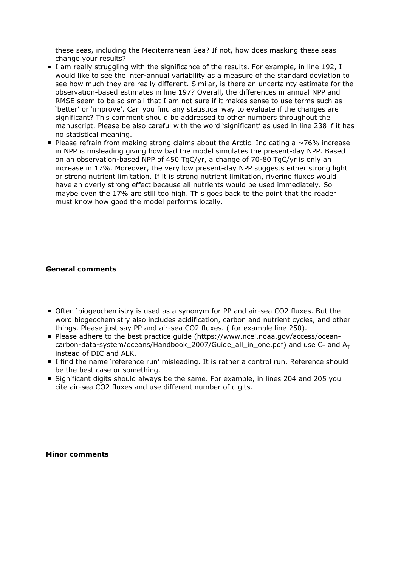these seas, including the Mediterranean Sea? If not, how does masking these seas change your results?

- I am really struggling with the significance of the results. For example, in line 192, I would like to see the inter-annual variability as a measure of the standard deviation to see how much they are really different. Similar, is there an uncertainty estimate for the observation-based estimates in line 197? Overall, the differences in annual NPP and RMSE seem to be so small that I am not sure if it makes sense to use terms such as 'better' or 'improve'. Can you find any statistical way to evaluate if the changes are significant? This comment should be addressed to other numbers throughout the manuscript. Please be also careful with the word 'significant' as used in line 238 if it has no statistical meaning.
- Please refrain from making strong claims about the Arctic. Indicating a  $\sim$ 76% increase in NPP is misleading giving how bad the model simulates the present-day NPP. Based on an observation-based NPP of 450 TgC/yr, a change of 70-80 TgC/yr is only an increase in 17%. Moreover, the very low present-day NPP suggests either strong light or strong nutrient limitation. If it is strong nutrient limitation, riverine fluxes would have an overly strong effect because all nutrients would be used immediately. So maybe even the 17% are still too high. This goes back to the point that the reader must know how good the model performs locally.

## **General comments**

- Often 'biogeochemistry is used as a synonym for PP and air-sea CO2 fluxes. But the word biogeochemistry also includes acidification, carbon and nutrient cycles, and other things. Please just say PP and air-sea CO2 fluxes. ( for example line 250).
- Please adhere to the best practice guide (https://www.ncei.noaa.gov/access/oceancarbon-data-system/oceans/Handbook\_2007/Guide\_all\_in\_one.pdf) and use  $C_T$  and  $A_T$ instead of DIC and ALK.
- I find the name 'reference run' misleading. It is rather a control run. Reference should be the best case or something.
- Significant digits should always be the same. For example, in lines 204 and 205 you cite air-sea CO2 fluxes and use different number of digits.

**Minor comments**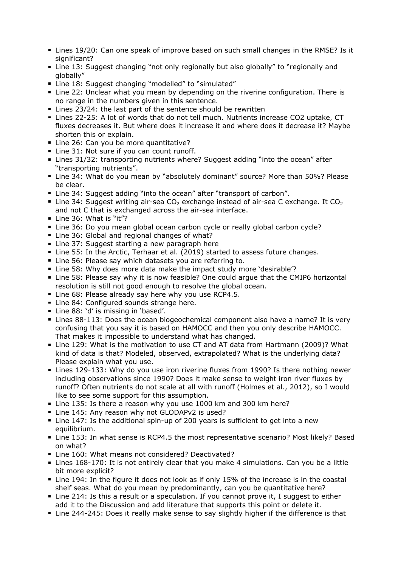- Lines 19/20: Can one speak of improve based on such small changes in the RMSE? Is it significant?
- Line 13: Suggest changing "not only regionally but also globally" to "regionally and globally"
- Line 18: Suggest changing "modelled" to "simulated"
- Line 22: Unclear what you mean by depending on the riverine configuration. There is no range in the numbers given in this sentence.
- Lines 23/24: the last part of the sentence should be rewritten
- Lines 22-25: A lot of words that do not tell much. Nutrients increase CO2 uptake, CT fluxes decreases it. But where does it increase it and where does it decrease it? Maybe shorten this or explain.
- Line 26: Can you be more quantitative?
- Line 31: Not sure if you can count runoff.
- Lines 31/32: transporting nutrients where? Suggest adding "into the ocean" after "transporting nutrients".
- Line 34: What do you mean by "absolutely dominant" source? More than 50%? Please be clear.
- Line 34: Suggest adding "into the ocean" after "transport of carbon".
- **Line 34: Suggest writing air-sea CO<sub>2</sub> exchange instead of air-sea C exchange. It CO<sub>2</sub>** and not C that is exchanged across the air-sea interface.
- Line 36: What is "it"?
- **Line 36: Do you mean global ocean carbon cycle or really global carbon cycle?**
- Line 36: Global and regional changes of what?
- Line 37: Suggest starting a new paragraph here
- Line 55: In the Arctic, Terhaar et al. (2019) started to assess future changes.
- **Line 56: Please say which datasets you are referring to.**
- Line 58: Why does more data make the impact study more 'desirable'?
- Line 58: Please say why it is now feasible? One could argue that the CMIP6 horizontal resolution is still not good enough to resolve the global ocean.
- Line 68: Please already say here why you use RCP4.5.
- **Line 84: Configured sounds strange here.**
- Line 88: 'd' is missing in 'based'.
- Lines 88-113: Does the ocean biogeochemical component also have a name? It is very confusing that you say it is based on HAMOCC and then you only describe HAMOCC. That makes it impossible to understand what has changed.
- Line 129: What is the motivation to use CT and AT data from Hartmann (2009)? What kind of data is that? Modeled, observed, extrapolated? What is the underlying data? Please explain what you use.
- Lines 129-133: Why do you use iron riverine fluxes from 1990? Is there nothing newer including observations since 1990? Does it make sense to weight iron river fluxes by runoff? Often nutrients do not scale at all with runoff (Holmes et al., 2012), so I would like to see some support for this assumption.
- Line 135: Is there a reason why you use 1000 km and 300 km here?
- Line 145: Any reason why not GLODAPv2 is used?
- Line 147: Is the additional spin-up of 200 years is sufficient to get into a new equilibrium.
- Line 153: In what sense is RCP4.5 the most representative scenario? Most likely? Based on what?
- Line 160: What means not considered? Deactivated?
- Lines 168-170: It is not entirely clear that you make 4 simulations. Can you be a little bit more explicit?
- Line 194: In the figure it does not look as if only 15% of the increase is in the coastal shelf seas. What do you mean by predominantly, can you be quantitative here?
- Line 214: Is this a result or a speculation. If you cannot prove it, I suggest to either add it to the Discussion and add literature that supports this point or delete it.
- Line 244-245: Does it really make sense to say slightly higher if the difference is that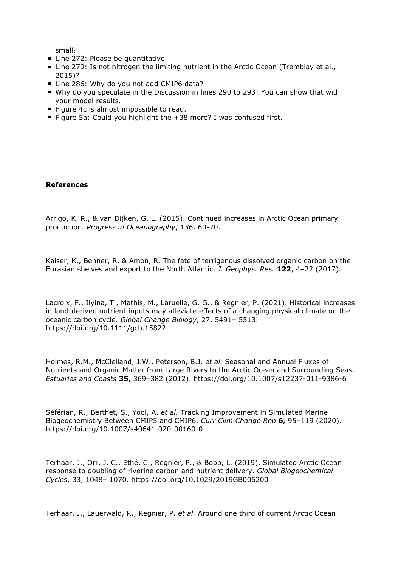small?

- Line 272: Please be quantitative
- Line 279: Is not nitrogen the limiting nutrient in the Arctic Ocean (Tremblay et al., 2015)?
- Line 286: Why do you not add CMIP6 data?
- Why do you speculate in the Discussion in lines 290 to 293: You can show that with your model results.
- Figure 4c is almost impossible to read.
- Figure 5a: Could you highlight the  $+38$  more? I was confused first.

## **References**

Arrigo, K. R., & van Dijken, G. L. (2015). Continued increases in Arctic Ocean primary production. *Progress in Oceanography*, *136*, 60-70.

Kaiser, K., Benner, R. & Amon, R. The fate of terrigenous dissolved organic carbon on the Eurasian shelves and export to the North Atlantic. *J. Geophys. Res.* **122**, 4–22 (2017).

Lacroix, F., Ilyina, T., Mathis, M., Laruelle, G. G., & Regnier, P. (2021). Historical increases in land-derived nutrient inputs may alleviate effects of a changing physical climate on the oceanic carbon cycle. *Global Change Biology*, 27, 5491– 5513. https://doi.org/10.1111/gcb.15822

Holmes, R.M., McClelland, J.W., Peterson, B.J. *et al.* Seasonal and Annual Fluxes of Nutrients and Organic Matter from Large Rivers to the Arctic Ocean and Surrounding Seas. *Estuaries and Coasts* **35,** 369–382 (2012). https://doi.org/10.1007/s12237-011-9386-6

Séférian, R., Berthet, S., Yool, A. *et al.* Tracking Improvement in Simulated Marine Biogeochemistry Between CMIP5 and CMIP6. *Curr Clim Change Rep* **6,** 95–119 (2020). https://doi.org/10.1007/s40641-020-00160-0

Terhaar, J., Orr, J. C., Ethé, C., Regnier, P., & Bopp, L. (2019). Simulated Arctic Ocean response to doubling of riverine carbon and nutrient delivery. *Global Biogeochemical Cycles*, 33, 1048– 1070. https://doi.org/10.1029/2019GB006200

Terhaar, J., Lauerwald, R., Regnier, P. *et al.* Around one third of current Arctic Ocean